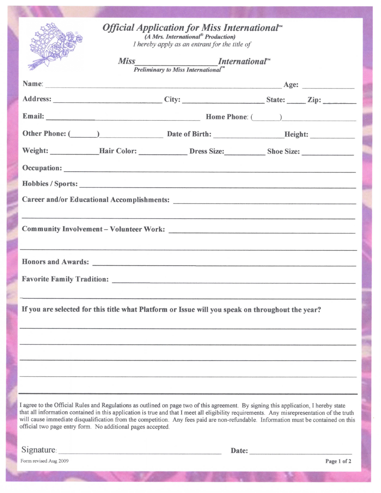| <i><b>Official Application for Miss International<sup>™</sup></b></i><br>(A Mrs. International <sup>®</sup> Production)<br>I hereby apply as an entrant for the title of<br><b>Miss</b><br>$S_{\text{Preliminary to Miss International}^{\text{N}}$<br>Preliminary to Miss International <sup>N</sup>                                                                                                                                                                                     |  |             |  |
|-------------------------------------------------------------------------------------------------------------------------------------------------------------------------------------------------------------------------------------------------------------------------------------------------------------------------------------------------------------------------------------------------------------------------------------------------------------------------------------------|--|-------------|--|
|                                                                                                                                                                                                                                                                                                                                                                                                                                                                                           |  |             |  |
| Address: City: City: State: Zip:                                                                                                                                                                                                                                                                                                                                                                                                                                                          |  |             |  |
|                                                                                                                                                                                                                                                                                                                                                                                                                                                                                           |  |             |  |
| Other Phone: (Champion Communication Control Control Control Control Control Control Control Control Control Control Control Control Control Control Control Control Control Control Control Control Control Control Control C                                                                                                                                                                                                                                                            |  |             |  |
|                                                                                                                                                                                                                                                                                                                                                                                                                                                                                           |  |             |  |
|                                                                                                                                                                                                                                                                                                                                                                                                                                                                                           |  |             |  |
|                                                                                                                                                                                                                                                                                                                                                                                                                                                                                           |  |             |  |
|                                                                                                                                                                                                                                                                                                                                                                                                                                                                                           |  |             |  |
|                                                                                                                                                                                                                                                                                                                                                                                                                                                                                           |  |             |  |
|                                                                                                                                                                                                                                                                                                                                                                                                                                                                                           |  |             |  |
|                                                                                                                                                                                                                                                                                                                                                                                                                                                                                           |  |             |  |
|                                                                                                                                                                                                                                                                                                                                                                                                                                                                                           |  |             |  |
|                                                                                                                                                                                                                                                                                                                                                                                                                                                                                           |  |             |  |
|                                                                                                                                                                                                                                                                                                                                                                                                                                                                                           |  |             |  |
| If you are selected for this title what Platform or Issue will you speak on throughout the year?                                                                                                                                                                                                                                                                                                                                                                                          |  |             |  |
|                                                                                                                                                                                                                                                                                                                                                                                                                                                                                           |  |             |  |
|                                                                                                                                                                                                                                                                                                                                                                                                                                                                                           |  |             |  |
|                                                                                                                                                                                                                                                                                                                                                                                                                                                                                           |  |             |  |
|                                                                                                                                                                                                                                                                                                                                                                                                                                                                                           |  |             |  |
|                                                                                                                                                                                                                                                                                                                                                                                                                                                                                           |  |             |  |
| I agree to the Official Rules and Regulations as outlined on page two of this agreement. By signing this application, I hereby state<br>that all information contained in this application is true and that I meet all eligibility requirements. Any misrepresentation of the truth<br>will cause immediate disqualification from the competition. Any fees paid are non-refundable. Information must be contained on this<br>official two page entry form. No additional pages accepted. |  |             |  |
| Signature:                                                                                                                                                                                                                                                                                                                                                                                                                                                                                |  | Date:       |  |
| Form revised Aug 2009                                                                                                                                                                                                                                                                                                                                                                                                                                                                     |  | Page 1 of 2 |  |